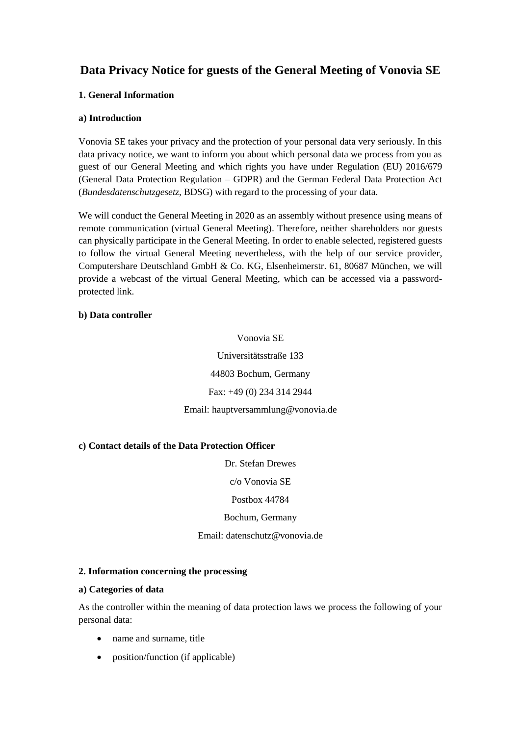# **Data Privacy Notice for guests of the General Meeting of Vonovia SE**

# **1. General Information**

#### **a) Introduction**

Vonovia SE takes your privacy and the protection of your personal data very seriously. In this data privacy notice, we want to inform you about which personal data we process from you as guest of our General Meeting and which rights you have under Regulation (EU) 2016/679 (General Data Protection Regulation – GDPR) and the German Federal Data Protection Act (*Bundesdatenschutzgesetz*, BDSG) with regard to the processing of your data.

We will conduct the General Meeting in 2020 as an assembly without presence using means of remote communication (virtual General Meeting). Therefore, neither shareholders nor guests can physically participate in the General Meeting. In order to enable selected, registered guests to follow the virtual General Meeting nevertheless, with the help of our service provider, Computershare Deutschland GmbH & Co. KG, Elsenheimerstr. 61, 80687 München, we will provide a webcast of the virtual General Meeting, which can be accessed via a passwordprotected link.

# **b) Data controller**

Vonovia SE Universitätsstraße 133 44803 Bochum, Germany Fax: +49 (0) 234 314 2944 Email: hauptversammlung@vonovia.de

# **c) Contact details of the Data Protection Officer**

Dr. Stefan Drewes

c/o Vonovia SE

Postbox 44784

Bochum, Germany

Email: datenschutz@vonovia.de

# **2. Information concerning the processing**

#### **a) Categories of data**

As the controller within the meaning of data protection laws we process the following of your personal data:

- name and surname, title
- position/function (if applicable)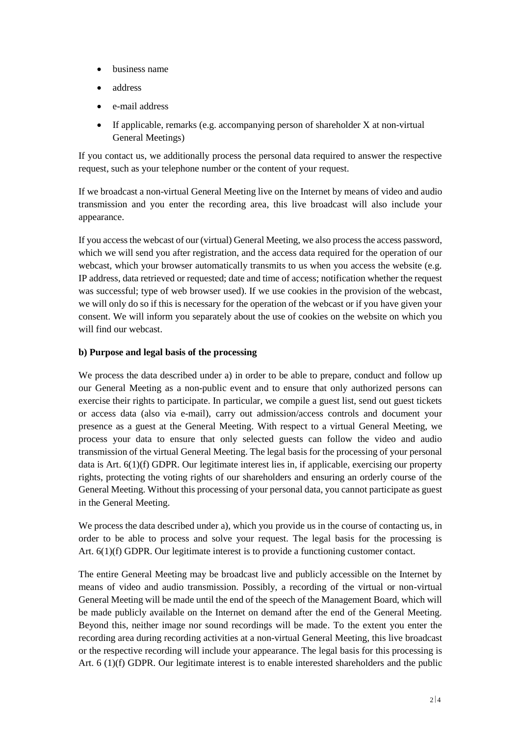- business name
- address
- e-mail address
- If applicable, remarks (e.g. accompanying person of shareholder X at non-virtual General Meetings)

If you contact us, we additionally process the personal data required to answer the respective request, such as your telephone number or the content of your request.

If we broadcast a non-virtual General Meeting live on the Internet by means of video and audio transmission and you enter the recording area, this live broadcast will also include your appearance.

If you access the webcast of our (virtual) General Meeting, we also process the access password, which we will send you after registration, and the access data required for the operation of our webcast, which your browser automatically transmits to us when you access the website (e.g. IP address, data retrieved or requested; date and time of access; notification whether the request was successful; type of web browser used). If we use cookies in the provision of the webcast, we will only do so if this is necessary for the operation of the webcast or if you have given your consent. We will inform you separately about the use of cookies on the website on which you will find our webcast.

#### **b) Purpose and legal basis of the processing**

We process the data described under a) in order to be able to prepare, conduct and follow up our General Meeting as a non-public event and to ensure that only authorized persons can exercise their rights to participate. In particular, we compile a guest list, send out guest tickets or access data (also via e-mail), carry out admission/access controls and document your presence as a guest at the General Meeting. With respect to a virtual General Meeting, we process your data to ensure that only selected guests can follow the video and audio transmission of the virtual General Meeting. The legal basis for the processing of your personal data is Art. 6(1)(f) GDPR. Our legitimate interest lies in, if applicable, exercising our property rights, protecting the voting rights of our shareholders and ensuring an orderly course of the General Meeting. Without this processing of your personal data, you cannot participate as guest in the General Meeting.

We process the data described under a), which you provide us in the course of contacting us, in order to be able to process and solve your request. The legal basis for the processing is Art. 6(1)(f) GDPR. Our legitimate interest is to provide a functioning customer contact.

The entire General Meeting may be broadcast live and publicly accessible on the Internet by means of video and audio transmission. Possibly, a recording of the virtual or non-virtual General Meeting will be made until the end of the speech of the Management Board, which will be made publicly available on the Internet on demand after the end of the General Meeting. Beyond this, neither image nor sound recordings will be made. To the extent you enter the recording area during recording activities at a non-virtual General Meeting, this live broadcast or the respective recording will include your appearance. The legal basis for this processing is Art. 6 (1)(f) GDPR. Our legitimate interest is to enable interested shareholders and the public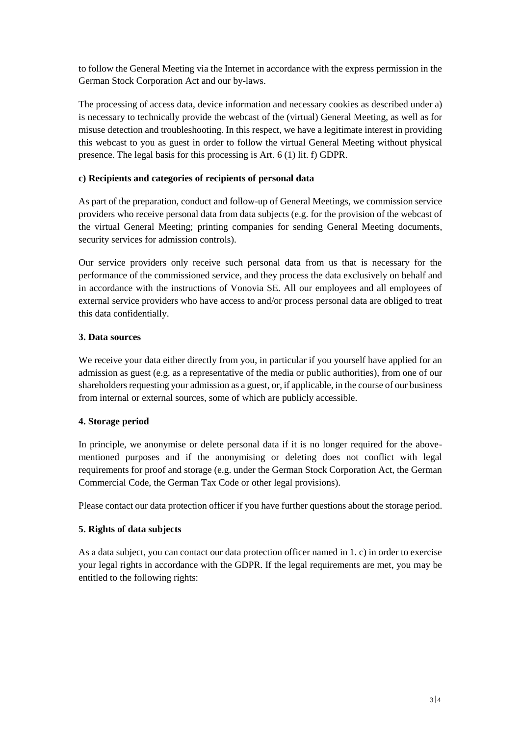to follow the General Meeting via the Internet in accordance with the express permission in the German Stock Corporation Act and our by-laws.

The processing of access data, device information and necessary cookies as described under a) is necessary to technically provide the webcast of the (virtual) General Meeting, as well as for misuse detection and troubleshooting. In this respect, we have a legitimate interest in providing this webcast to you as guest in order to follow the virtual General Meeting without physical presence. The legal basis for this processing is Art. 6 (1) lit. f) GDPR.

# **c) Recipients and categories of recipients of personal data**

As part of the preparation, conduct and follow-up of General Meetings, we commission service providers who receive personal data from data subjects (e.g. for the provision of the webcast of the virtual General Meeting; printing companies for sending General Meeting documents, security services for admission controls).

Our service providers only receive such personal data from us that is necessary for the performance of the commissioned service, and they process the data exclusively on behalf and in accordance with the instructions of Vonovia SE. All our employees and all employees of external service providers who have access to and/or process personal data are obliged to treat this data confidentially.

#### **3. Data sources**

We receive your data either directly from you, in particular if you yourself have applied for an admission as guest (e.g. as a representative of the media or public authorities), from one of our shareholders requesting your admission as a guest, or, if applicable, in the course of our business from internal or external sources, some of which are publicly accessible.

#### **4. Storage period**

In principle, we anonymise or delete personal data if it is no longer required for the abovementioned purposes and if the anonymising or deleting does not conflict with legal requirements for proof and storage (e.g. under the German Stock Corporation Act, the German Commercial Code, the German Tax Code or other legal provisions).

Please contact our data protection officer if you have further questions about the storage period.

#### **5. Rights of data subjects**

As a data subject, you can contact our data protection officer named in 1. c) in order to exercise your legal rights in accordance with the GDPR. If the legal requirements are met, you may be entitled to the following rights: